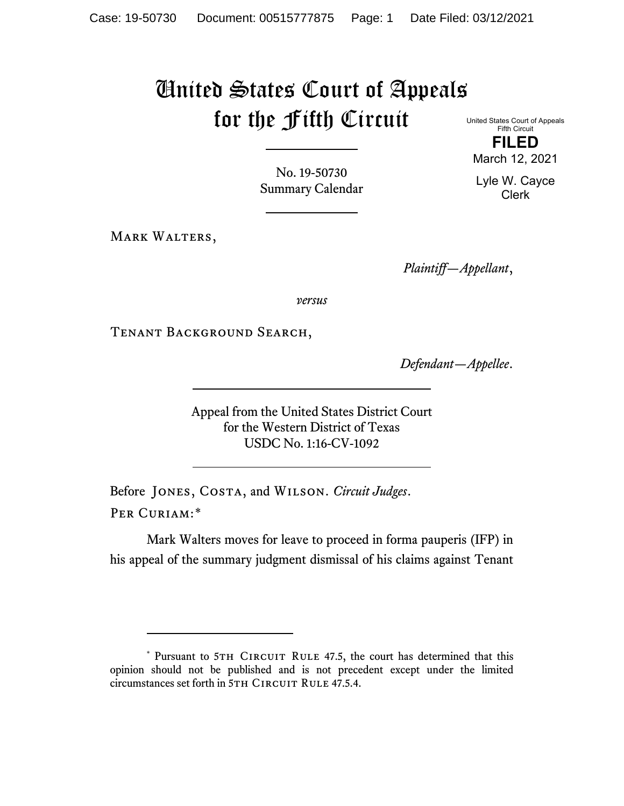# United States Court of Appeals for the Fifth Circuit

United States Court of Appeals Fifth Circuit **FILED**

No. 19-50730 Summary Calendar

MARK WALTERS,

*Plaintiff—Appellant*,

*versus*

Tenant Background Search,

*Defendant—Appellee*.

Appeal from the United States District Court for the Western District of Texas USDC No. 1:16-CV-1092

Before Jones, Costa, and Wilson. *Circuit Judges*. Per Curiam:[\\*](#page-0-0)

Mark Walters moves for leave to proceed in forma pauperis (IFP) in his appeal of the summary judgment dismissal of his claims against Tenant

March 12, 2021 Lyle W. Cayce

Clerk

<span id="page-0-0"></span><sup>\*</sup> Pursuant to 5TH CIRCUIT RULE 47.5, the court has determined that this opinion should not be published and is not precedent except under the limited circumstances set forth in 5TH CIRCUIT RULE 47.5.4.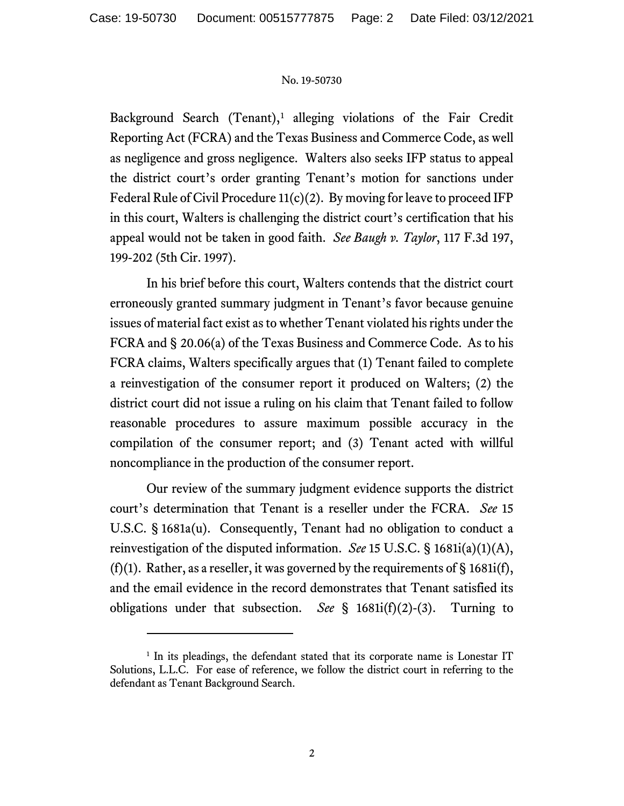Background Search (Tenant),<sup>[1](#page-1-0)</sup> alleging violations of the Fair Credit Reporting Act (FCRA) and the Texas Business and Commerce Code, as well as negligence and gross negligence. Walters also seeks IFP status to appeal the district court's order granting Tenant's motion for sanctions under Federal Rule of Civil Procedure 11(c)(2). By moving for leave to proceed IFP in this court, Walters is challenging the district court's certification that his appeal would not be taken in good faith. *See Baugh v. Taylor*, 117 F.3d 197, 199-202 (5th Cir. 1997).

In his brief before this court, Walters contends that the district court erroneously granted summary judgment in Tenant's favor because genuine issues of material fact exist as to whether Tenant violated his rights under the FCRA and § 20.06(a) of the Texas Business and Commerce Code. As to his FCRA claims, Walters specifically argues that (1) Tenant failed to complete a reinvestigation of the consumer report it produced on Walters; (2) the district court did not issue a ruling on his claim that Tenant failed to follow reasonable procedures to assure maximum possible accuracy in the compilation of the consumer report; and (3) Tenant acted with willful noncompliance in the production of the consumer report.

Our review of the summary judgment evidence supports the district court's determination that Tenant is a reseller under the FCRA. *See* 15 U.S.C. § 1681a(u). Consequently, Tenant had no obligation to conduct a reinvestigation of the disputed information. *See* 15 U.S.C. § 1681i(a)(1)(A), (f)(1). Rather, as a reseller, it was governed by the requirements of  $\S$  1681i(f), and the email evidence in the record demonstrates that Tenant satisfied its obligations under that subsection. *See* § 1681i(f)(2)-(3). Turning to

<span id="page-1-0"></span><sup>&</sup>lt;sup>1</sup> In its pleadings, the defendant stated that its corporate name is Lonestar IT Solutions, L.L.C. For ease of reference, we follow the district court in referring to the defendant as Tenant Background Search.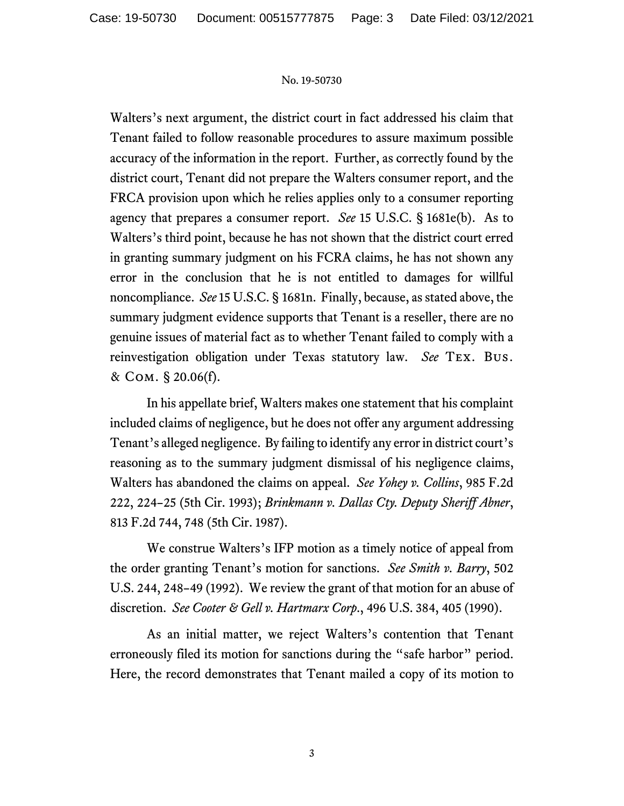Walters's next argument, the district court in fact addressed his claim that Tenant failed to follow reasonable procedures to assure maximum possible accuracy of the information in the report. Further, as correctly found by the district court, Tenant did not prepare the Walters consumer report, and the FRCA provision upon which he relies applies only to a consumer reporting agency that prepares a consumer report. *See* 15 U.S.C. § 1681e(b). As to Walters's third point, because he has not shown that the district court erred in granting summary judgment on his FCRA claims, he has not shown any error in the conclusion that he is not entitled to damages for willful noncompliance. *See* 15 U.S.C. § 1681n. Finally, because, as stated above, the summary judgment evidence supports that Tenant is a reseller, there are no genuine issues of material fact as to whether Tenant failed to comply with a reinvestigation obligation under Texas statutory law. *See* Tex. Bus. & Com. § 20.06(f).

In his appellate brief, Walters makes one statement that his complaint included claims of negligence, but he does not offer any argument addressing Tenant's alleged negligence. By failing to identify any error in district court's reasoning as to the summary judgment dismissal of his negligence claims, Walters has abandoned the claims on appeal. *See Yohey v. Collins*, 985 F.2d 222, 224–25 (5th Cir. 1993); *Brinkmann v. Dallas Cty. Deputy Sheriff Abner*, 813 F.2d 744, 748 (5th Cir. 1987).

We construe Walters's IFP motion as a timely notice of appeal from the order granting Tenant's motion for sanctions. *See Smith v. Barry*, 502 U.S. 244, 248–49 (1992). We review the grant of that motion for an abuse of discretion. *See Cooter & Gell v. Hartmarx Corp*., 496 U.S. 384, 405 (1990).

As an initial matter, we reject Walters's contention that Tenant erroneously filed its motion for sanctions during the "safe harbor" period. Here, the record demonstrates that Tenant mailed a copy of its motion to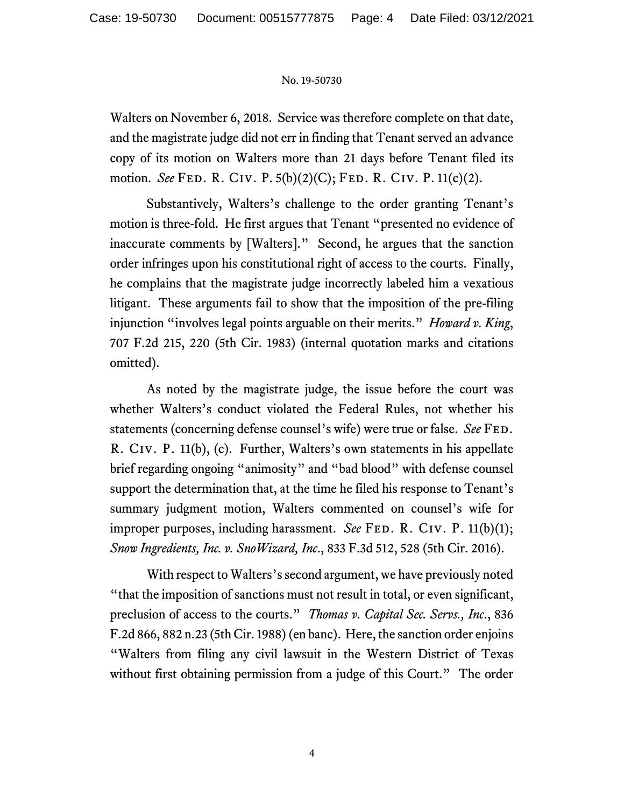Walters on November 6, 2018. Service was therefore complete on that date, and the magistrate judge did not err in finding that Tenant served an advance copy of its motion on Walters more than 21 days before Tenant filed its motion. *See* Fed. R. Civ. P. 5(b)(2)(C); Fed. R. Civ. P. 11(c)(2).

Substantively, Walters's challenge to the order granting Tenant's motion is three-fold. He first argues that Tenant "presented no evidence of inaccurate comments by [Walters]." Second, he argues that the sanction order infringes upon his constitutional right of access to the courts. Finally, he complains that the magistrate judge incorrectly labeled him a vexatious litigant. These arguments fail to show that the imposition of the pre-filing injunction "involves legal points arguable on their merits." *Howard v. King*, 707 F.2d 215, 220 (5th Cir. 1983) (internal quotation marks and citations omitted).

As noted by the magistrate judge, the issue before the court was whether Walters's conduct violated the Federal Rules, not whether his statements (concerning defense counsel's wife) were true or false. *See* FED. R. Civ. P. 11(b), (c). Further, Walters's own statements in his appellate brief regarding ongoing "animosity" and "bad blood" with defense counsel support the determination that, at the time he filed his response to Tenant's summary judgment motion, Walters commented on counsel's wife for improper purposes, including harassment. *See* FED. R. CIV. P. 11(b)(1); *Snow Ingredients, Inc. v. SnoWizard, Inc*., 833 F.3d 512, 528 (5th Cir. 2016).

With respect to Walters's second argument, we have previously noted "that the imposition of sanctions must not result in total, or even significant, preclusion of access to the courts." *Thomas v. Capital Sec. Servs., Inc*., 836 F.2d 866, 882 n.23 (5th Cir. 1988)(en banc). Here, the sanction order enjoins "Walters from filing any civil lawsuit in the Western District of Texas without first obtaining permission from a judge of this Court." The order